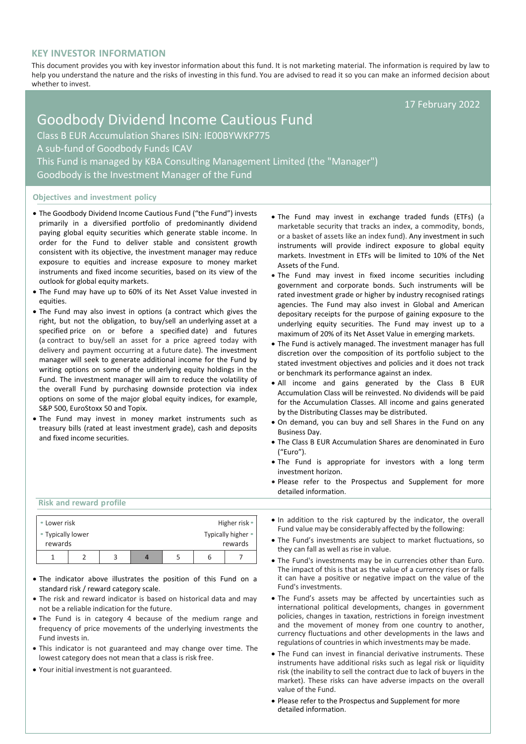# **KEY INVESTOR INFORMATION**

This document provides you with key investor information about this fund. It is not marketing material. The information is required by law to help you understand the nature and the risks of investing in this fund. You are advised to read it so you can make an informed decision about whether to invest.

17 February 2022

# Goodbody Dividend Income Cautious Fund Class B EUR Accumulation Shares ISIN: IE00BYWKP775 A sub-fund of Goodbody Funds ICAV This Fund is managed by KBA Consulting Management Limited (the "Manager") Goodbody is the Investment Manager of the Fund

# **Objectives and investment policy**

- The Goodbody Dividend Income Cautious Fund ("the Fund") invests primarily in a diversified portfolio of predominantly dividend paying global equity securities which generate stable income. In order for the Fund to deliver stable and consistent growth consistent with its objective, the investment manager may reduce exposure to equities and increase exposure to money market instruments and fixed income securities, based on its view of the outlook for global equity markets.
- The Fund may have up to 60% of its Net Asset Value invested in equities.
- The Fund may also invest in options (a contract which gives the right, but not the obligation, to buy/sell an [underlying](https://en.wikipedia.org/wiki/Underlying) [asset](https://en.wikipedia.org/wiki/Asset) at a specified price on or before a specified [date\)](https://en.wikipedia.org/wiki/Expiration_(options)) and futures (a contract to buy/sell an asset for a price agreed today with delivery and payment occurring at a future date). The investment manager will seek to generate additional income for the Fund by writing options on some of the underlying equity holdings in the Fund. The investment manager will aim to reduce the volatility of the overall Fund by purchasing downside protection via index options on some of the major global equity indices, for example, S&P 500, EuroStoxx 50 and Topix.
- The Fund may invest in money market instruments such as treasury bills (rated at least investment grade), cash and deposits and fixed income securities.
- The Fund may invest in exchange traded funds (ETFs) (a marketable security that tracks an index, a commodity, bonds, or a basket of assets like an index fund). Any investment in such instruments will provide indirect exposure to global equity markets. Investment in ETFs will be limited to 10% of the Net Assets of the Fund.
- The Fund may invest in fixed income securities including government and corporate bonds. Such instruments will be rated investment grade or higher by industry recognised ratings agencies. The Fund may also invest in Global and American depositary receipts for the purpose of gaining exposure to the underlying equity securities. The Fund may invest up to a maximum of 20% of its Net Asset Value in emerging markets.
- The Fund is actively managed. The investment manager has full discretion over the composition of its portfolio subject to the stated investment objectives and policies and it does not track or benchmark its performance against an index.
- All income and gains generated by the Class B EUR Accumulation Class will be reinvested. No dividends will be paid for the Accumulation Classes. All income and gains generated by the Distributing Classes may be distributed.
- On demand, you can buy and sell Shares in the Fund on any Business Day.
- The Class B EUR Accumulation Shares are denominated in Euro ("Euro").
- The Fund is appropriate for investors with a long term investment horizon.
- Please refer to the Prospectus and Supplement for more detailed information.

#### **Risk and reward profile**

| • Lower risk                 |  |  |  |  | Higher risk • |                               |
|------------------------------|--|--|--|--|---------------|-------------------------------|
| • Typically lower<br>rewards |  |  |  |  |               | Typically higher •<br>rewards |
|                              |  |  |  |  |               |                               |

- The indicator above illustrates the position of this Fund on a standard risk / reward category scale.
- The risk and reward indicator is based on historical data and may not be a reliable indication for the future.
- The Fund is in category 4 because of the medium range and frequency of price movements of the underlying investments the Fund invests in.
- This indicator is not guaranteed and may change over time. The lowest category does not mean that a class is risk free.
- Your initial investment is not guaranteed.
- In addition to the risk captured by the indicator, the overall Fund value may be considerably affected by the following:
- The Fund's investments are subject to market fluctuations, so they can fall as well as rise in value.
- The Fund's investments may be in currencies other than Euro. The impact of this is that as the value of a currency rises or falls it can have a positive or negative impact on the value of the Fund's investments.
- The Fund's assets may be affected by uncertainties such as international political developments, changes in government policies, changes in taxation, restrictions in foreign investment and the movement of money from one country to another, currency fluctuations and other developments in the laws and regulations of countries in which investments may be made.
- The Fund can invest in financial derivative instruments. These instruments have additional risks such as legal risk or liquidity risk (the inability to sell the contract due to lack of buyers in the market). These risks can have adverse impacts on the overall value of the Fund.
- Please refer to the Prospectus and Supplement for more detailed information.